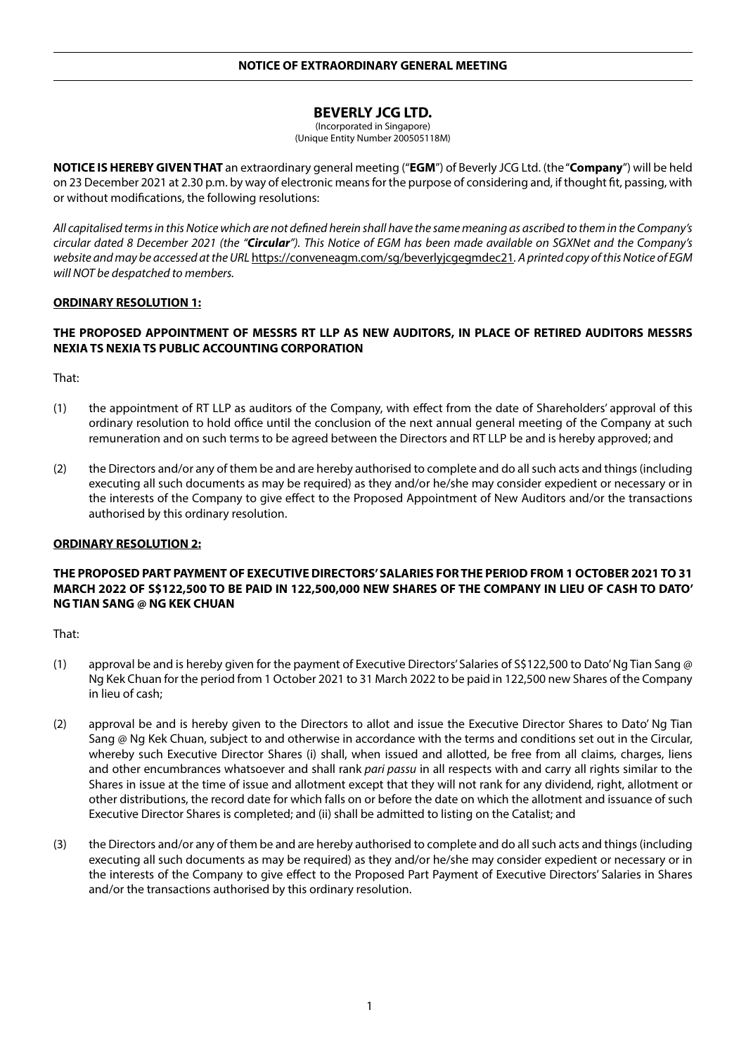# **BEVERLY JCG LTD.**

(Incorporated in Singapore) (Unique Entity Number 200505118M)

**NOTICE IS HEREBY GIVEN THAT** an extraordinary general meeting ("**EGM**") of Beverly JCG Ltd. (the "**Company**") will be held on 23 December 2021 at 2.30 p.m. by way of electronic means for the purpose of considering and, if thought fit, passing, with or without modifications, the following resolutions:

*All capitalised terms in this Notice which are not defined herein shall have the same meaning as ascribed to them in the Company's circular dated 8 December 2021 (the "Circular"). This Notice of EGM has been made available on SGXNet and the Company's website and may be accessed at the URL* https://conveneagm.com/sg/beverlyjcgegmdec21*. A printed copy of this Notice of EGM will NOT be despatched to members.*

### **ORDINARY RESOLUTION 1:**

# **THE PROPOSED APPOINTMENT OF MESSRS RT LLP AS NEW AUDITORS, IN PLACE OF RETIRED AUDITORS MESSRS NEXIA TS NEXIA TS PUBLIC ACCOUNTING CORPORATION**

That:

- (1) the appointment of RT LLP as auditors of the Company, with effect from the date of Shareholders' approval of this ordinary resolution to hold office until the conclusion of the next annual general meeting of the Company at such remuneration and on such terms to be agreed between the Directors and RT LLP be and is hereby approved; and
- (2) the Directors and/or any of them be and are hereby authorised to complete and do all such acts and things (including executing all such documents as may be required) as they and/or he/she may consider expedient or necessary or in the interests of the Company to give effect to the Proposed Appointment of New Auditors and/or the transactions authorised by this ordinary resolution.

#### **ORDINARY RESOLUTION 2:**

# **THE PROPOSED PART PAYMENT OF EXECUTIVE DIRECTORS' SALARIES FOR THE PERIOD FROM 1 OCTOBER 2021 TO 31 MARCH 2022 OF S\$122,500 TO BE PAID IN 122,500,000 NEW SHARES OF THE COMPANY IN LIEU OF CASH TO DATO' NG TIAN SANG @ NG KEK CHUAN**

- (1) approval be and is hereby given for the payment of Executive Directors' Salaries of S\$122,500 to Dato' Ng Tian Sang @ Ng Kek Chuan for the period from 1 October 2021 to 31 March 2022 to be paid in 122,500 new Shares of the Company in lieu of cash;
- (2) approval be and is hereby given to the Directors to allot and issue the Executive Director Shares to Dato' Ng Tian Sang @ Ng Kek Chuan, subject to and otherwise in accordance with the terms and conditions set out in the Circular, whereby such Executive Director Shares (i) shall, when issued and allotted, be free from all claims, charges, liens and other encumbrances whatsoever and shall rank *pari passu* in all respects with and carry all rights similar to the Shares in issue at the time of issue and allotment except that they will not rank for any dividend, right, allotment or other distributions, the record date for which falls on or before the date on which the allotment and issuance of such Executive Director Shares is completed; and (ii) shall be admitted to listing on the Catalist; and
- (3) the Directors and/or any of them be and are hereby authorised to complete and do all such acts and things (including executing all such documents as may be required) as they and/or he/she may consider expedient or necessary or in the interests of the Company to give effect to the Proposed Part Payment of Executive Directors' Salaries in Shares and/or the transactions authorised by this ordinary resolution.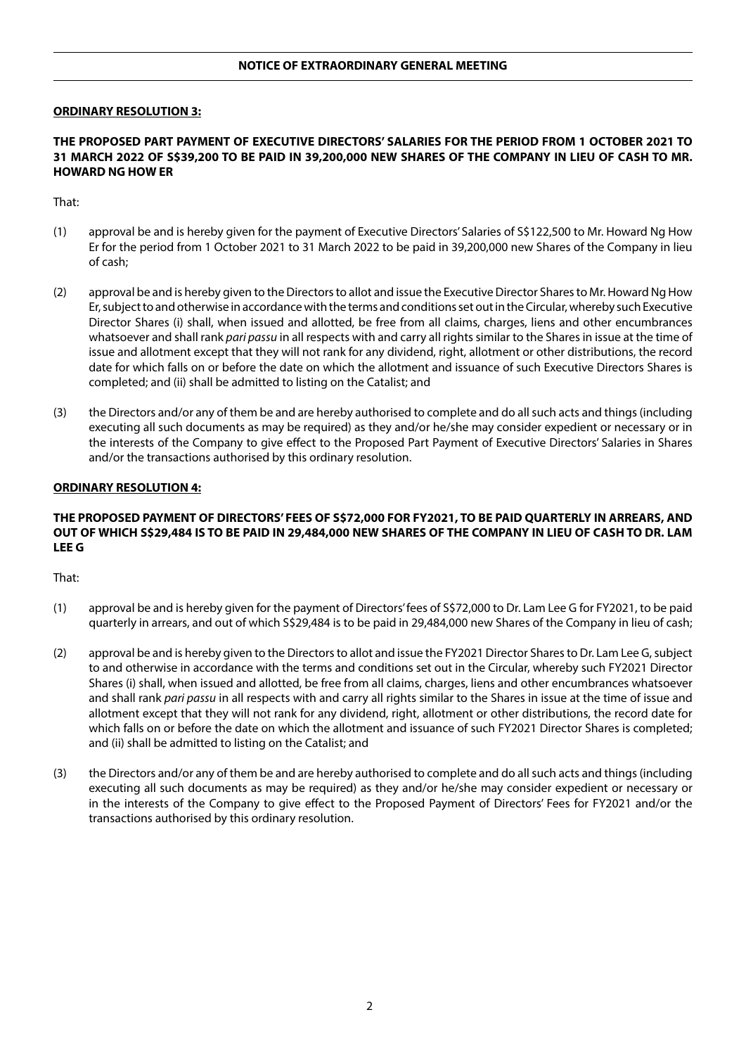## **NOTICE OF EXTRAORDINARY GENERAL MEETING**

#### **ORDINARY RESOLUTION 3:**

#### **THE PROPOSED PART PAYMENT OF EXECUTIVE DIRECTORS' SALARIES FOR THE PERIOD FROM 1 OCTOBER 2021 TO 31 MARCH 2022 OF S\$39,200 TO BE PAID IN 39,200,000 NEW SHARES OF THE COMPANY IN LIEU OF CASH TO MR. HOWARD NG HOW ER**

That:

- (1) approval be and is hereby given for the payment of Executive Directors' Salaries of S\$122,500 to Mr. Howard Ng How Er for the period from 1 October 2021 to 31 March 2022 to be paid in 39,200,000 new Shares of the Company in lieu of cash;
- (2) approval be and is hereby given to the Directors to allot and issue the Executive Director Shares to Mr. Howard Ng How Er, subject to and otherwise in accordance with the terms and conditions set out in the Circular, whereby such Executive Director Shares (i) shall, when issued and allotted, be free from all claims, charges, liens and other encumbrances whatsoever and shall rank *pari passu* in all respects with and carry all rights similar to the Shares in issue at the time of issue and allotment except that they will not rank for any dividend, right, allotment or other distributions, the record date for which falls on or before the date on which the allotment and issuance of such Executive Directors Shares is completed; and (ii) shall be admitted to listing on the Catalist; and
- (3) the Directors and/or any of them be and are hereby authorised to complete and do all such acts and things (including executing all such documents as may be required) as they and/or he/she may consider expedient or necessary or in the interests of the Company to give effect to the Proposed Part Payment of Executive Directors' Salaries in Shares and/or the transactions authorised by this ordinary resolution.

#### **ORDINARY RESOLUTION 4:**

## **THE PROPOSED PAYMENT OF DIRECTORS' FEES OF S\$72,000 FOR FY2021, TO BE PAID QUARTERLY IN ARREARS, AND OUT OF WHICH S\$29,484 IS TO BE PAID IN 29,484,000 NEW SHARES OF THE COMPANY IN LIEU OF CASH TO DR. LAM LEE G**

- (1) approval be and is hereby given for the payment of Directors' fees of S\$72,000 to Dr. Lam Lee G for FY2021, to be paid quarterly in arrears, and out of which S\$29,484 is to be paid in 29,484,000 new Shares of the Company in lieu of cash;
- (2) approval be and is hereby given to the Directors to allot and issue the FY2021 Director Shares to Dr. Lam Lee G, subject to and otherwise in accordance with the terms and conditions set out in the Circular, whereby such FY2021 Director Shares (i) shall, when issued and allotted, be free from all claims, charges, liens and other encumbrances whatsoever and shall rank *pari passu* in all respects with and carry all rights similar to the Shares in issue at the time of issue and allotment except that they will not rank for any dividend, right, allotment or other distributions, the record date for which falls on or before the date on which the allotment and issuance of such FY2021 Director Shares is completed; and (ii) shall be admitted to listing on the Catalist; and
- (3) the Directors and/or any of them be and are hereby authorised to complete and do all such acts and things (including executing all such documents as may be required) as they and/or he/she may consider expedient or necessary or in the interests of the Company to give effect to the Proposed Payment of Directors' Fees for FY2021 and/or the transactions authorised by this ordinary resolution.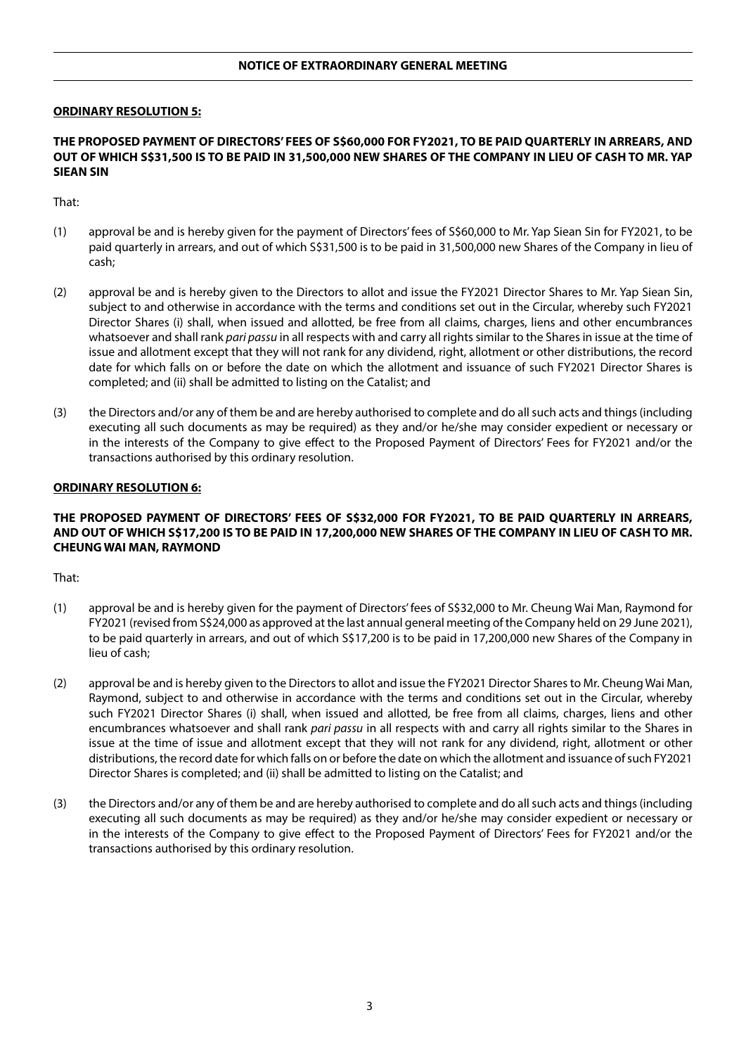## **NOTICE OF EXTRAORDINARY GENERAL MEETING**

#### **ORDINARY RESOLUTION 5:**

#### **THE PROPOSED PAYMENT OF DIRECTORS' FEES OF S\$60,000 FOR FY2021, TO BE PAID QUARTERLY IN ARREARS, AND OUT OF WHICH S\$31,500 IS TO BE PAID IN 31,500,000 NEW SHARES OF THE COMPANY IN LIEU OF CASH TO MR. YAP SIEAN SIN**

That:

- (1) approval be and is hereby given for the payment of Directors' fees of S\$60,000 to Mr. Yap Siean Sin for FY2021, to be paid quarterly in arrears, and out of which S\$31,500 is to be paid in 31,500,000 new Shares of the Company in lieu of cash;
- (2) approval be and is hereby given to the Directors to allot and issue the FY2021 Director Shares to Mr. Yap Siean Sin, subject to and otherwise in accordance with the terms and conditions set out in the Circular, whereby such FY2021 Director Shares (i) shall, when issued and allotted, be free from all claims, charges, liens and other encumbrances whatsoever and shall rank *pari passu* in all respects with and carry all rights similar to the Shares in issue at the time of issue and allotment except that they will not rank for any dividend, right, allotment or other distributions, the record date for which falls on or before the date on which the allotment and issuance of such FY2021 Director Shares is completed; and (ii) shall be admitted to listing on the Catalist; and
- (3) the Directors and/or any of them be and are hereby authorised to complete and do all such acts and things (including executing all such documents as may be required) as they and/or he/she may consider expedient or necessary or in the interests of the Company to give effect to the Proposed Payment of Directors' Fees for FY2021 and/or the transactions authorised by this ordinary resolution.

#### **ORDINARY RESOLUTION 6:**

# **THE PROPOSED PAYMENT OF DIRECTORS' FEES OF S\$32,000 FOR FY2021, TO BE PAID QUARTERLY IN ARREARS, AND OUT OF WHICH S\$17,200 IS TO BE PAID IN 17,200,000 NEW SHARES OF THE COMPANY IN LIEU OF CASH TO MR. CHEUNG WAI MAN, RAYMOND**

- (1) approval be and is hereby given for the payment of Directors' fees of S\$32,000 to Mr. Cheung Wai Man, Raymond for FY2021 (revised from S\$24,000 as approved at the last annual general meeting of the Company held on 29 June 2021), to be paid quarterly in arrears, and out of which S\$17,200 is to be paid in 17,200,000 new Shares of the Company in lieu of cash;
- (2) approval be and is hereby given to the Directors to allot and issue the FY2021 Director Shares to Mr. Cheung Wai Man, Raymond, subject to and otherwise in accordance with the terms and conditions set out in the Circular, whereby such FY2021 Director Shares (i) shall, when issued and allotted, be free from all claims, charges, liens and other encumbrances whatsoever and shall rank *pari passu* in all respects with and carry all rights similar to the Shares in issue at the time of issue and allotment except that they will not rank for any dividend, right, allotment or other distributions, the record date for which falls on or before the date on which the allotment and issuance of such FY2021 Director Shares is completed; and (ii) shall be admitted to listing on the Catalist; and
- (3) the Directors and/or any of them be and are hereby authorised to complete and do all such acts and things (including executing all such documents as may be required) as they and/or he/she may consider expedient or necessary or in the interests of the Company to give effect to the Proposed Payment of Directors' Fees for FY2021 and/or the transactions authorised by this ordinary resolution.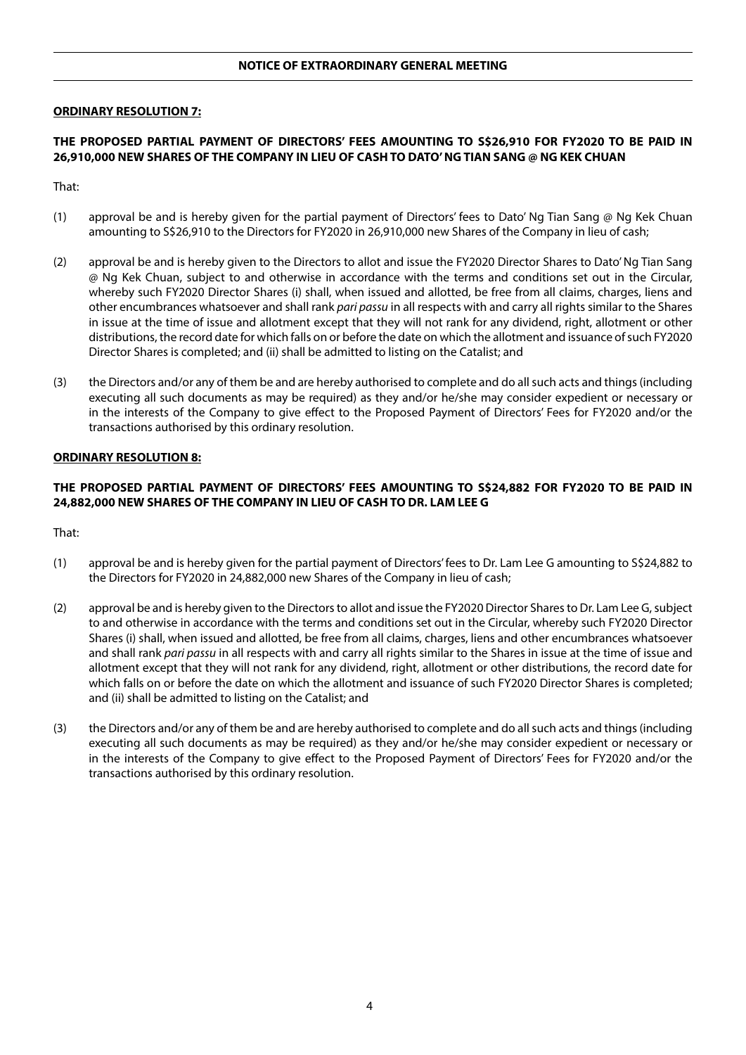#### **ORDINARY RESOLUTION 7:**

# **THE PROPOSED PARTIAL PAYMENT OF DIRECTORS' FEES AMOUNTING TO S\$26,910 FOR FY2020 TO BE PAID IN 26,910,000 NEW SHARES OF THE COMPANY IN LIEU OF CASH TO DATO' NG TIAN SANG @ NG KEK CHUAN**

That:

- (1) approval be and is hereby given for the partial payment of Directors' fees to Dato' Ng Tian Sang @ Ng Kek Chuan amounting to S\$26,910 to the Directors for FY2020 in 26,910,000 new Shares of the Company in lieu of cash;
- (2) approval be and is hereby given to the Directors to allot and issue the FY2020 Director Shares to Dato' Ng Tian Sang @ Ng Kek Chuan, subject to and otherwise in accordance with the terms and conditions set out in the Circular, whereby such FY2020 Director Shares (i) shall, when issued and allotted, be free from all claims, charges, liens and other encumbrances whatsoever and shall rank *pari passu* in all respects with and carry all rights similar to the Shares in issue at the time of issue and allotment except that they will not rank for any dividend, right, allotment or other distributions, the record date for which falls on or before the date on which the allotment and issuance of such FY2020 Director Shares is completed; and (ii) shall be admitted to listing on the Catalist; and
- (3) the Directors and/or any of them be and are hereby authorised to complete and do all such acts and things (including executing all such documents as may be required) as they and/or he/she may consider expedient or necessary or in the interests of the Company to give effect to the Proposed Payment of Directors' Fees for FY2020 and/or the transactions authorised by this ordinary resolution.

### **ORDINARY RESOLUTION 8:**

# **THE PROPOSED PARTIAL PAYMENT OF DIRECTORS' FEES AMOUNTING TO S\$24,882 FOR FY2020 TO BE PAID IN 24,882,000 NEW SHARES OF THE COMPANY IN LIEU OF CASH TO DR. LAM LEE G**

- (1) approval be and is hereby given for the partial payment of Directors' fees to Dr. Lam Lee G amounting to S\$24,882 to the Directors for FY2020 in 24,882,000 new Shares of the Company in lieu of cash;
- (2) approval be and is hereby given to the Directors to allot and issue the FY2020 Director Shares to Dr. Lam Lee G, subject to and otherwise in accordance with the terms and conditions set out in the Circular, whereby such FY2020 Director Shares (i) shall, when issued and allotted, be free from all claims, charges, liens and other encumbrances whatsoever and shall rank *pari passu* in all respects with and carry all rights similar to the Shares in issue at the time of issue and allotment except that they will not rank for any dividend, right, allotment or other distributions, the record date for which falls on or before the date on which the allotment and issuance of such FY2020 Director Shares is completed; and (ii) shall be admitted to listing on the Catalist; and
- (3) the Directors and/or any of them be and are hereby authorised to complete and do all such acts and things (including executing all such documents as may be required) as they and/or he/she may consider expedient or necessary or in the interests of the Company to give effect to the Proposed Payment of Directors' Fees for FY2020 and/or the transactions authorised by this ordinary resolution.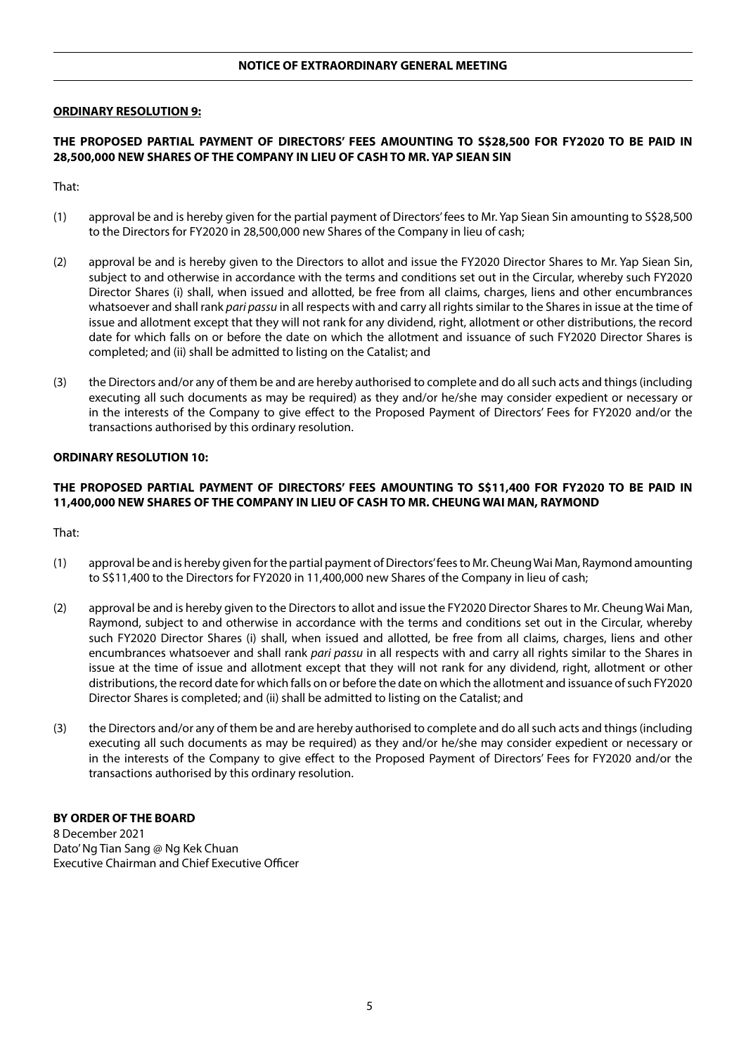#### **ORDINARY RESOLUTION 9:**

# **THE PROPOSED PARTIAL PAYMENT OF DIRECTORS' FEES AMOUNTING TO S\$28,500 FOR FY2020 TO BE PAID IN 28,500,000 NEW SHARES OF THE COMPANY IN LIEU OF CASH TO MR. YAP SIEAN SIN**

That:

- (1) approval be and is hereby given for the partial payment of Directors' fees to Mr. Yap Siean Sin amounting to S\$28,500 to the Directors for FY2020 in 28,500,000 new Shares of the Company in lieu of cash;
- (2) approval be and is hereby given to the Directors to allot and issue the FY2020 Director Shares to Mr. Yap Siean Sin, subject to and otherwise in accordance with the terms and conditions set out in the Circular, whereby such FY2020 Director Shares (i) shall, when issued and allotted, be free from all claims, charges, liens and other encumbrances whatsoever and shall rank *pari passu* in all respects with and carry all rights similar to the Shares in issue at the time of issue and allotment except that they will not rank for any dividend, right, allotment or other distributions, the record date for which falls on or before the date on which the allotment and issuance of such FY2020 Director Shares is completed; and (ii) shall be admitted to listing on the Catalist; and
- (3) the Directors and/or any of them be and are hereby authorised to complete and do all such acts and things (including executing all such documents as may be required) as they and/or he/she may consider expedient or necessary or in the interests of the Company to give effect to the Proposed Payment of Directors' Fees for FY2020 and/or the transactions authorised by this ordinary resolution.

### **ORDINARY RESOLUTION 10:**

# **THE PROPOSED PARTIAL PAYMENT OF DIRECTORS' FEES AMOUNTING TO S\$11,400 FOR FY2020 TO BE PAID IN 11,400,000 NEW SHARES OF THE COMPANY IN LIEU OF CASH TO MR. CHEUNG WAI MAN, RAYMOND**

That:

- (1) approval be and is hereby given for the partial payment of Directors' fees to Mr. Cheung Wai Man, Raymond amounting to S\$11,400 to the Directors for FY2020 in 11,400,000 new Shares of the Company in lieu of cash;
- (2) approval be and is hereby given to the Directors to allot and issue the FY2020 Director Shares to Mr. Cheung Wai Man, Raymond, subject to and otherwise in accordance with the terms and conditions set out in the Circular, whereby such FY2020 Director Shares (i) shall, when issued and allotted, be free from all claims, charges, liens and other encumbrances whatsoever and shall rank *pari passu* in all respects with and carry all rights similar to the Shares in issue at the time of issue and allotment except that they will not rank for any dividend, right, allotment or other distributions, the record date for which falls on or before the date on which the allotment and issuance of such FY2020 Director Shares is completed; and (ii) shall be admitted to listing on the Catalist; and
- (3) the Directors and/or any of them be and are hereby authorised to complete and do all such acts and things (including executing all such documents as may be required) as they and/or he/she may consider expedient or necessary or in the interests of the Company to give effect to the Proposed Payment of Directors' Fees for FY2020 and/or the transactions authorised by this ordinary resolution.

#### **BY ORDER OF THE BOARD**

8 December 2021 Dato' Ng Tian Sang @ Ng Kek Chuan Executive Chairman and Chief Executive Officer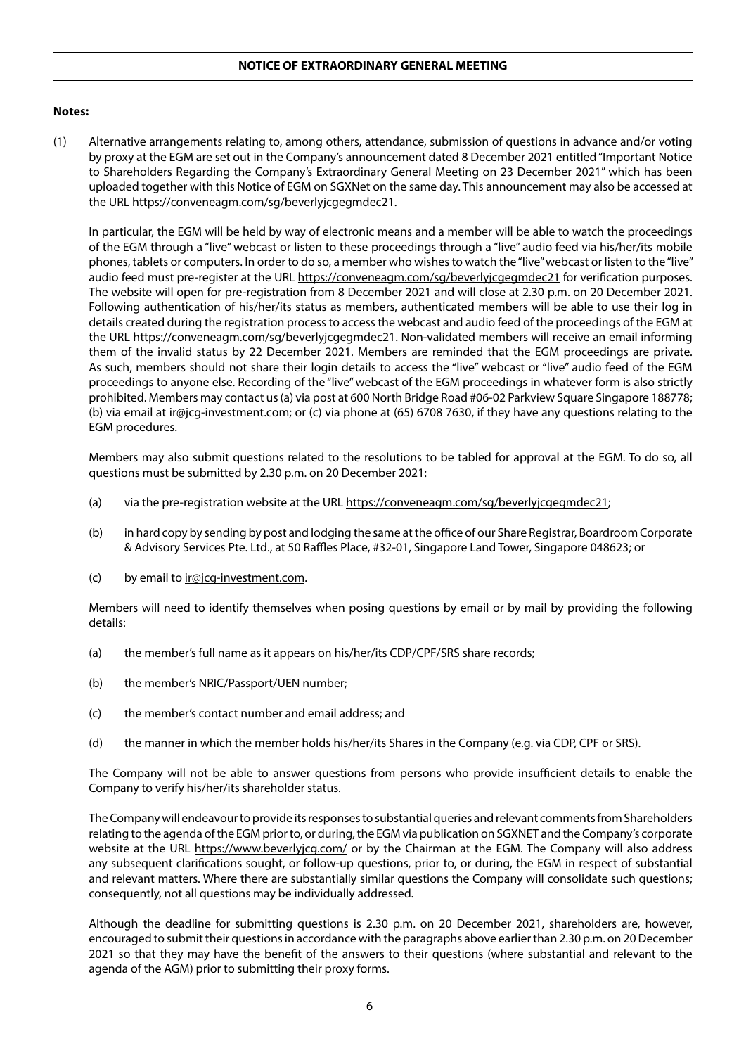# **Notes:**

(1) Alternative arrangements relating to, among others, attendance, submission of questions in advance and/or voting by proxy at the EGM are set out in the Company's announcement dated 8 December 2021 entitled "Important Notice to Shareholders Regarding the Company's Extraordinary General Meeting on 23 December 2021" which has been uploaded together with this Notice of EGM on SGXNet on the same day. This announcement may also be accessed at the URL https://conveneagm.com/sg/beverlyjcgegmdec21.

In particular, the EGM will be held by way of electronic means and a member will be able to watch the proceedings of the EGM through a "live" webcast or listen to these proceedings through a "live" audio feed via his/her/its mobile phones, tablets or computers. In order to do so, a member who wishes to watch the "live" webcast or listen to the "live" audio feed must pre-register at the URL https://conveneagm.com/sg/beverlyjcgegmdec21 for verification purposes. The website will open for pre-registration from 8 December 2021 and will close at 2.30 p.m. on 20 December 2021. Following authentication of his/her/its status as members, authenticated members will be able to use their log in details created during the registration process to access the webcast and audio feed of the proceedings of the EGM at the URL https://conveneagm.com/sg/beverlyjcgegmdec21. Non-validated members will receive an email informing them of the invalid status by 22 December 2021. Members are reminded that the EGM proceedings are private. As such, members should not share their login details to access the "live" webcast or "live" audio feed of the EGM proceedings to anyone else. Recording of the "live" webcast of the EGM proceedings in whatever form is also strictly prohibited. Members may contact us (a) via post at 600 North Bridge Road #06-02 Parkview Square Singapore 188778; (b) via email at ir@jcg-investment.com; or (c) via phone at (65) 6708 7630, if they have any questions relating to the EGM procedures.

Members may also submit questions related to the resolutions to be tabled for approval at the EGM. To do so, all questions must be submitted by 2.30 p.m. on 20 December 2021:

- (a) via the pre-registration website at the URL https://conveneagm.com/sg/beverlyjcgegmdec21;
- (b) in hard copy by sending by post and lodging the same at the office of our Share Registrar, Boardroom Corporate & Advisory Services Pte. Ltd., at 50 Raffles Place, #32-01, Singapore Land Tower, Singapore 048623; or
- (c) by email to  $\text{ir@jcg-investment.com}$ .

Members will need to identify themselves when posing questions by email or by mail by providing the following details:

- (a) the member's full name as it appears on his/her/its CDP/CPF/SRS share records;
- (b) the member's NRIC/Passport/UEN number;
- (c) the member's contact number and email address; and
- (d) the manner in which the member holds his/her/its Shares in the Company (e.g. via CDP, CPF or SRS).

The Company will not be able to answer questions from persons who provide insufficient details to enable the Company to verify his/her/its shareholder status.

The Company will endeavour to provide its responses to substantial queries and relevant comments from Shareholders relating to the agenda of the EGM prior to, or during, the EGM via publication on SGXNET and the Company's corporate website at the URL https://www.beverlyjcg.com/ or by the Chairman at the EGM. The Company will also address any subsequent clarifications sought, or follow-up questions, prior to, or during, the EGM in respect of substantial and relevant matters. Where there are substantially similar questions the Company will consolidate such questions; consequently, not all questions may be individually addressed.

Although the deadline for submitting questions is 2.30 p.m. on 20 December 2021, shareholders are, however, encouraged to submit their questions in accordance with the paragraphs above earlier than 2.30 p.m. on 20 December 2021 so that they may have the benefit of the answers to their questions (where substantial and relevant to the agenda of the AGM) prior to submitting their proxy forms.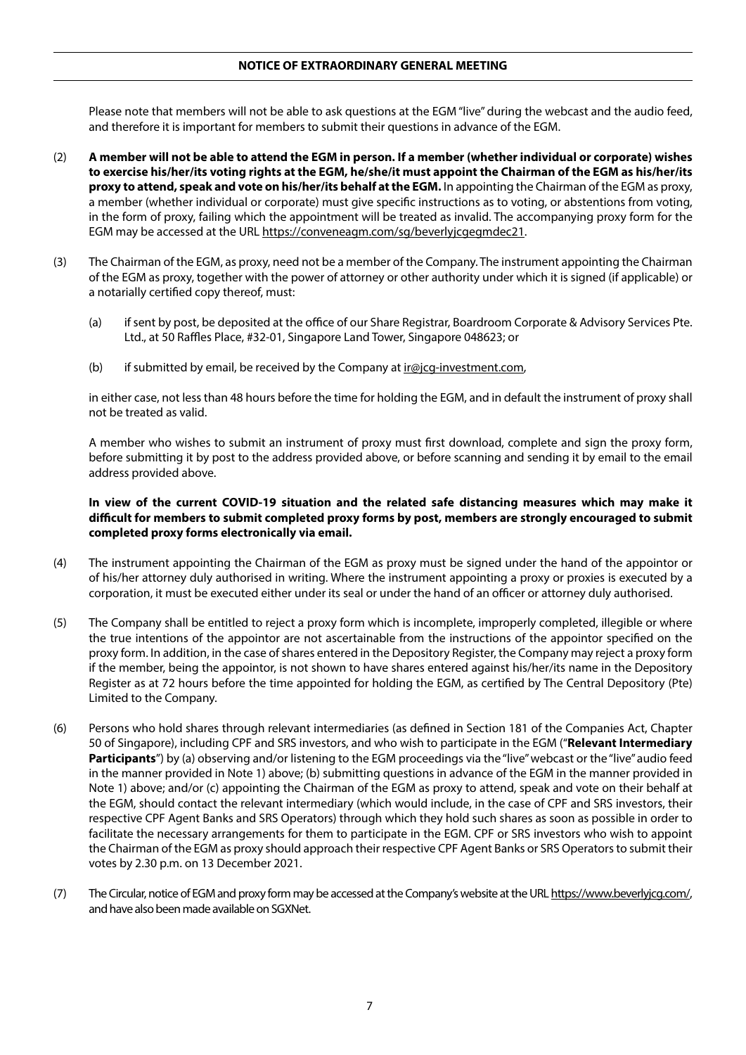Please note that members will not be able to ask questions at the EGM "live" during the webcast and the audio feed, and therefore it is important for members to submit their questions in advance of the EGM.

- (2) **A member will not be able to attend the EGM in person. If a member (whether individual or corporate) wishes to exercise his/her/its voting rights at the EGM, he/she/it must appoint the Chairman of the EGM as his/her/its proxy to attend, speak and vote on his/her/its behalf at the EGM.** In appointing the Chairman of the EGM as proxy, a member (whether individual or corporate) must give specific instructions as to voting, or abstentions from voting, in the form of proxy, failing which the appointment will be treated as invalid. The accompanying proxy form for the EGM may be accessed at the URL https://conveneagm.com/sg/beverlyjcgegmdec21.
- (3) The Chairman of the EGM, as proxy, need not be a member of the Company. The instrument appointing the Chairman of the EGM as proxy, together with the power of attorney or other authority under which it is signed (if applicable) or a notarially certified copy thereof, must:
	- (a) if sent by post, be deposited at the office of our Share Registrar, Boardroom Corporate & Advisory Services Pte. Ltd., at 50 Raffles Place, #32-01, Singapore Land Tower, Singapore 048623; or
	- (b) if submitted by email, be received by the Company at  $\text{ir}$ @jcg-investment.com,

in either case, not less than 48 hours before the time for holding the EGM, and in default the instrument of proxy shall not be treated as valid.

A member who wishes to submit an instrument of proxy must first download, complete and sign the proxy form, before submitting it by post to the address provided above, or before scanning and sending it by email to the email address provided above.

### **In view of the current COVID-19 situation and the related safe distancing measures which may make it difficult for members to submit completed proxy forms by post, members are strongly encouraged to submit completed proxy forms electronically via email.**

- (4) The instrument appointing the Chairman of the EGM as proxy must be signed under the hand of the appointor or of his/her attorney duly authorised in writing. Where the instrument appointing a proxy or proxies is executed by a corporation, it must be executed either under its seal or under the hand of an officer or attorney duly authorised.
- (5) The Company shall be entitled to reject a proxy form which is incomplete, improperly completed, illegible or where the true intentions of the appointor are not ascertainable from the instructions of the appointor specified on the proxy form. In addition, in the case of shares entered in the Depository Register, the Company may reject a proxy form if the member, being the appointor, is not shown to have shares entered against his/her/its name in the Depository Register as at 72 hours before the time appointed for holding the EGM, as certified by The Central Depository (Pte) Limited to the Company.
- (6) Persons who hold shares through relevant intermediaries (as defined in Section 181 of the Companies Act, Chapter 50 of Singapore), including CPF and SRS investors, and who wish to participate in the EGM ("**Relevant Intermediary Participants**") by (a) observing and/or listening to the EGM proceedings via the "live" webcast or the "live" audio feed in the manner provided in Note 1) above; (b) submitting questions in advance of the EGM in the manner provided in Note 1) above; and/or (c) appointing the Chairman of the EGM as proxy to attend, speak and vote on their behalf at the EGM, should contact the relevant intermediary (which would include, in the case of CPF and SRS investors, their respective CPF Agent Banks and SRS Operators) through which they hold such shares as soon as possible in order to facilitate the necessary arrangements for them to participate in the EGM. CPF or SRS investors who wish to appoint the Chairman of the EGM as proxy should approach their respective CPF Agent Banks or SRS Operators to submit their votes by 2.30 p.m. on 13 December 2021.
- (7) The Circular, notice of EGM and proxy form may be accessed at the Company's website at the URL https://www.beverlyjcg.com/, and have also been made available on SGXNet.